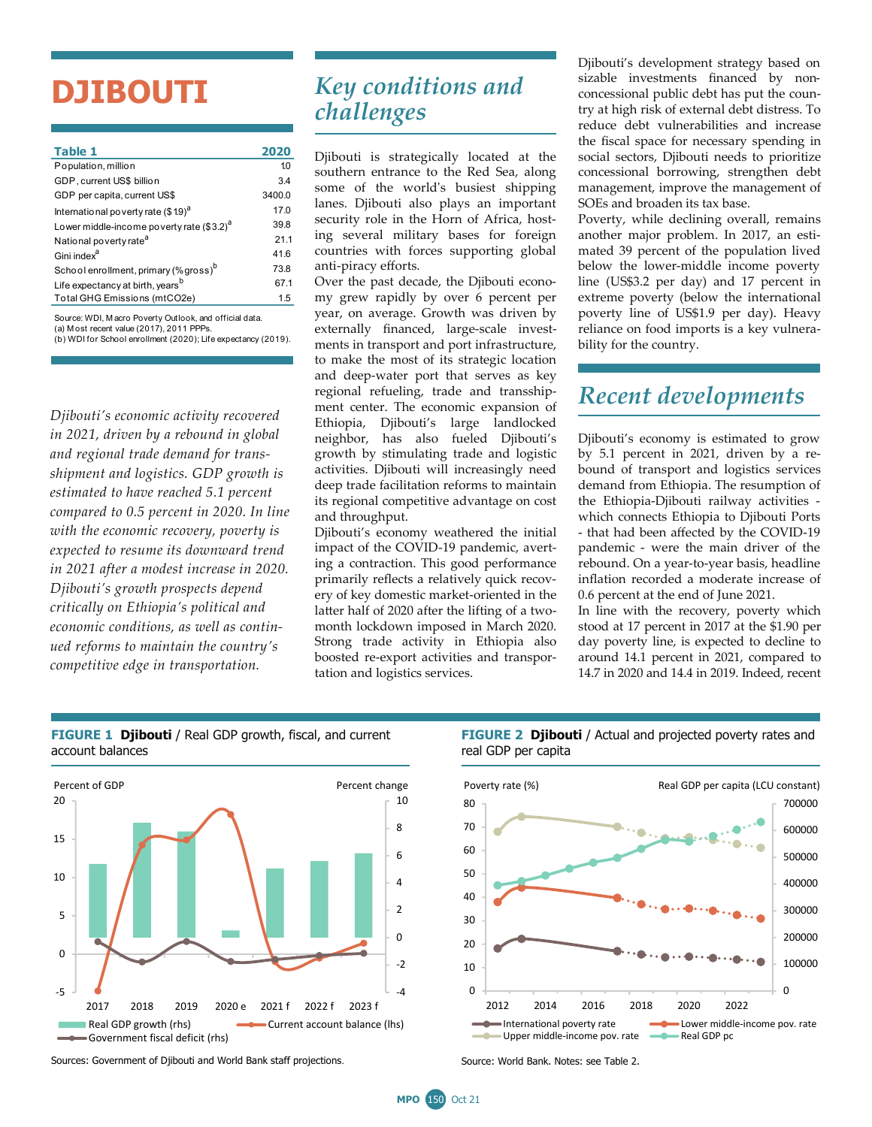## **DJIBOUTI**

| Table 1                                               | 2020   |
|-------------------------------------------------------|--------|
| Population, million                                   | 10     |
| GDP, current US\$ billion                             | 3.4    |
| GDP per capita, current US\$                          | 3400.0 |
| International poverty rate (\$19) <sup>a</sup>        | 17.0   |
| Lower middle-income poverty rate (\$3.2) <sup>a</sup> | 39.8   |
| National poverty rate <sup>a</sup>                    | 21.1   |
| Gini index <sup>a</sup>                               | 41.6   |
| School enrollment, primary (% gross) <sup>b</sup>     | 73.8   |
| Life expectancy at birth, years <sup>b</sup>          | 67.1   |
| Total GHG Emissions (mtCO2e)                          | 1.5    |
|                                                       |        |

(b) WDI for School enrollment (2020); Life expectancy (2019). Source: WDI, M acro Poverty Outlook, and official data. (a) M ost recent value (2017), 2011 PPPs.

*Djibouti's economic activity recovered in 2021, driven by a rebound in global and regional trade demand for transshipment and logistics. GDP growth is estimated to have reached 5.1 percent compared to 0.5 percent in 2020. In line with the economic recovery, poverty is expected to resume its downward trend in 2021 after a modest increase in 2020. Djibouti's growth prospects depend critically on Ethiopia's political and economic conditions, as well as continued reforms to maintain the country's competitive edge in transportation.*

## *Key conditions and challenges*

Djibouti is strategically located at the southern entrance to the Red Sea, along some of the world's busiest shipping lanes. Djibouti also plays an important security role in the Horn of Africa, hosting several military bases for foreign countries with forces supporting global anti-piracy efforts.

Over the past decade, the Djibouti economy grew rapidly by over 6 percent per year, on average. Growth was driven by externally financed, large-scale investments in transport and port infrastructure, to make the most of its strategic location and deep-water port that serves as key regional refueling, trade and transshipment center. The economic expansion of Ethiopia, Djibouti's large landlocked neighbor, has also fueled Djibouti's growth by stimulating trade and logistic activities. Djibouti will increasingly need deep trade facilitation reforms to maintain its regional competitive advantage on cost and throughput.

Djibouti's economy weathered the initial impact of the COVID-19 pandemic, averting a contraction. This good performance primarily reflects a relatively quick recovery of key domestic market-oriented in the latter half of 2020 after the lifting of a twomonth lockdown imposed in March 2020. Strong trade activity in Ethiopia also boosted re-export activities and transportation and logistics services.

Djibouti's development strategy based on sizable investments financed by nonconcessional public debt has put the country at high risk of external debt distress. To reduce debt vulnerabilities and increase the fiscal space for necessary spending in social sectors, Djibouti needs to prioritize concessional borrowing, strengthen debt management, improve the management of SOEs and broaden its tax base.

Poverty, while declining overall, remains another major problem. In 2017, an estimated 39 percent of the population lived below the lower-middle income poverty line (US\$3.2 per day) and 17 percent in extreme poverty (below the international poverty line of US\$1.9 per day). Heavy reliance on food imports is a key vulnerability for the country.

## *Recent developments*

Djibouti's economy is estimated to grow by 5.1 percent in 2021, driven by a rebound of transport and logistics services demand from Ethiopia. The resumption of the Ethiopia-Djibouti railway activities which connects Ethiopia to Djibouti Ports - that had been affected by the COVID-19 pandemic - were the main driver of the rebound. On a year-to-year basis, headline inflation recorded a moderate increase of 0.6 percent at the end of June 2021.

In line with the recovery, poverty which stood at 17 percent in 2017 at the \$1.90 per day poverty line, is expected to decline to around 14.1 percent in 2021, compared to 14.7 in 2020 and 14.4 in 2019. Indeed, recent



**FIGURE 1 Djibouti** / Real GDP growth, fiscal, and current account balances

Sources: Government of Djibouti and World Bank staff projections. Source: World Bank. Notes: see Table 2.